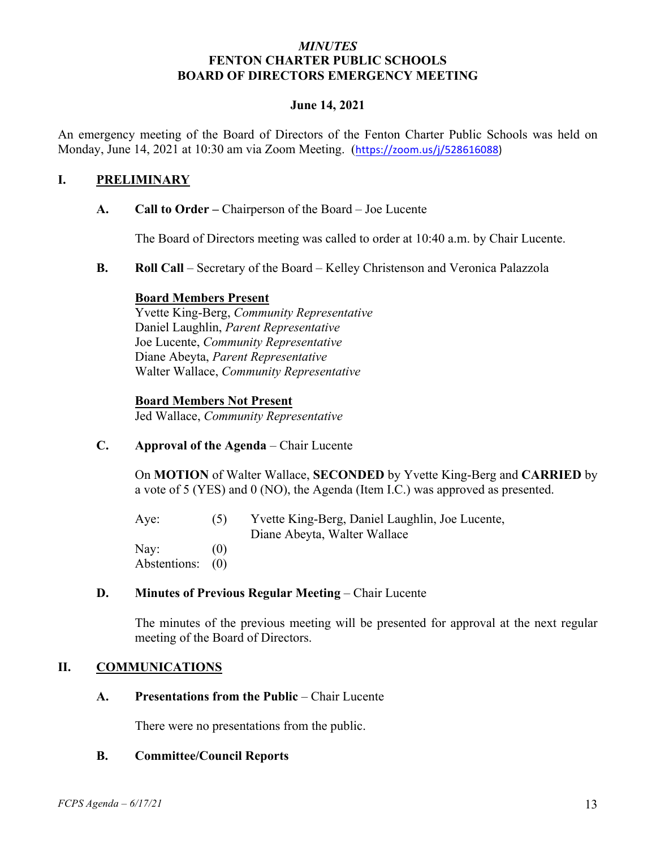#### *MINUTES* **FENTON CHARTER PUBLIC SCHOOLS BOARD OF DIRECTORS EMERGENCY MEETING**

#### **June 14, 2021**

An emergency meeting of the Board of Directors of the Fenton Charter Public Schools was held on Monday, June 14, 2021 at 10:30 am via Zoom Meeting. (https://zoom.us/j/528616088)

#### **I. PRELIMINARY**

**A. Call to Order –** Chairperson of the Board – Joe Lucente

The Board of Directors meeting was called to order at 10:40 a.m. by Chair Lucente.

**B. Roll Call** – Secretary of the Board – Kelley Christenson and Veronica Palazzola

#### **Board Members Present**

Yvette King-Berg, *Community Representative* Daniel Laughlin, *Parent Representative* Joe Lucente, *Community Representative* Diane Abeyta, *Parent Representative* Walter Wallace, *Community Representative* 

#### **Board Members Not Present**

Jed Wallace, *Community Representative*

**C. Approval of the Agenda** – Chair Lucente

On **MOTION** of Walter Wallace, **SECONDED** by Yvette King-Berg and **CARRIED** by a vote of 5 (YES) and 0 (NO), the Agenda (Item I.C.) was approved as presented.

Aye: (5) Yvette King-Berg, Daniel Laughlin, Joe Lucente, Diane Abeyta, Walter Wallace Nay:  $(0)$ Abstentions: (0)

#### **D. Minutes of Previous Regular Meeting – Chair Lucente**

The minutes of the previous meeting will be presented for approval at the next regular meeting of the Board of Directors.

#### **II. COMMUNICATIONS**

**A. Presentations from the Public** – Chair Lucente

There were no presentations from the public.

#### **B. Committee/Council Reports**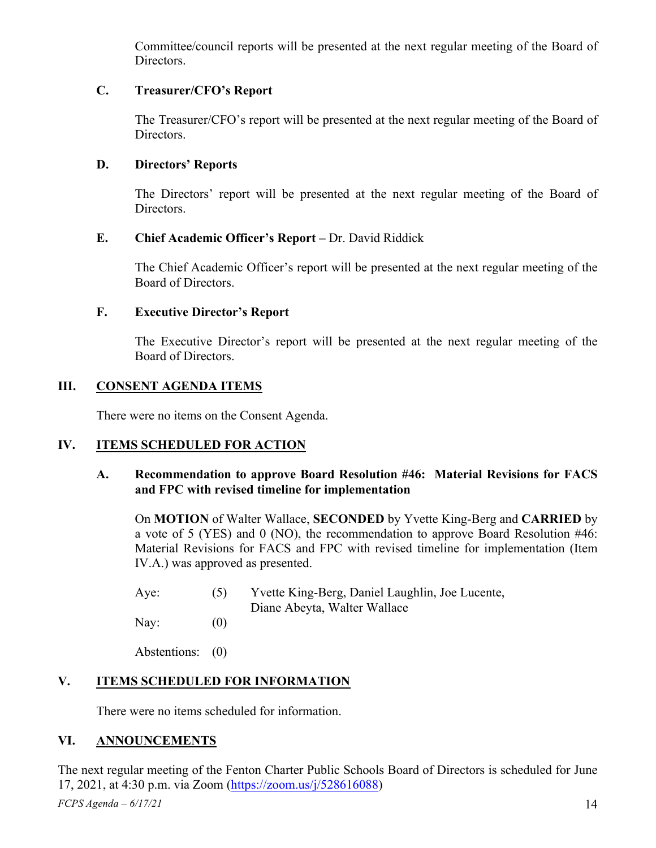Committee/council reports will be presented at the next regular meeting of the Board of Directors.

# **C. Treasurer/CFO's Report**

The Treasurer/CFO's report will be presented at the next regular meeting of the Board of Directors.

### **D. Directors' Reports**

The Directors' report will be presented at the next regular meeting of the Board of Directors.

### **E. Chief Academic Officer's Report –** Dr. David Riddick

The Chief Academic Officer's report will be presented at the next regular meeting of the Board of Directors.

### **F. Executive Director's Report**

The Executive Director's report will be presented at the next regular meeting of the Board of Directors.

# **III. CONSENT AGENDA ITEMS**

There were no items on the Consent Agenda.

# **IV. ITEMS SCHEDULED FOR ACTION**

### **A. Recommendation to approve Board Resolution #46: Material Revisions for FACS and FPC with revised timeline for implementation**

On **MOTION** of Walter Wallace, **SECONDED** by Yvette King-Berg and **CARRIED** by a vote of 5 (YES) and 0 (NO), the recommendation to approve Board Resolution #46: Material Revisions for FACS and FPC with revised timeline for implementation (Item IV.A.) was approved as presented.

| Aye: | Yvette King-Berg, Daniel Laughlin, Joe Lucente, |
|------|-------------------------------------------------|
|      | Diane Abeyta, Walter Wallace                    |

Nay:  $(0)$ 

Abstentions: (0)

# **V. ITEMS SCHEDULED FOR INFORMATION**

There were no items scheduled for information.

# **VI. ANNOUNCEMENTS**

The next regular meeting of the Fenton Charter Public Schools Board of Directors is scheduled for June 17, 2021, at 4:30 p.m. via Zoom (https://zoom.us/j/528616088)